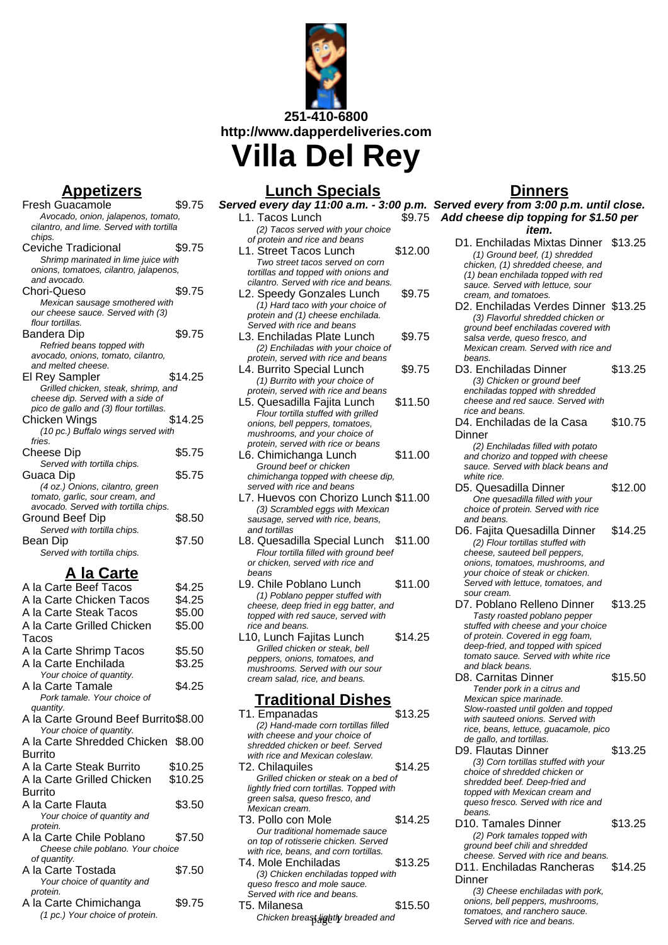

**Appetizers**

| <u>ippelizei s</u>                       |         |
|------------------------------------------|---------|
| Fresh Guacamole                          | \$9.75  |
| Avocado, onion, jalapenos, tomato,       |         |
| cilantro, and lime. Served with tortilla |         |
| chips.                                   |         |
| Ceviche Tradicional                      | \$9.75  |
| Shrimp marinated in lime juice with      |         |
| onions, tomatoes, cilantro, jalapenos,   |         |
| and avocado.                             |         |
| Chori-Queso                              | \$9.75  |
| Mexican sausage smothered with           |         |
| our cheese sauce. Served with (3)        |         |
| flour tortillas.                         |         |
| Bandera Dip                              | \$9.75  |
| Refried beans topped with                |         |
| avocado, onions, tomato, cilantro,       |         |
| and melted cheese.                       |         |
| El Rey Sampler                           | \$14.25 |
| Grilled chicken, steak, shrimp, and      |         |
| cheese dip. Served with a side of        |         |
| pico de gallo and (3) flour tortillas.   |         |
| Chicken Wings                            | \$14.25 |
| (10 pc.) Buffalo wings served with       |         |
| fries.                                   |         |
| Cheese Dip                               | \$5.75  |
| Served with tortilla chips.              |         |
| Guaca Dip                                | \$5.75  |
| (4 oz.) Onions, cilantro, green          |         |
| tomato, garlic, sour cream, and          |         |
| avocado. Served with tortilla chips.     |         |
| Ground Beef Dip                          | \$8.50  |
| Served with tortilla chips.              |         |
| Bean Dip                                 | \$7.50  |
| Served with tortilla chips.              |         |
|                                          |         |

# **A la Carte**

| A la Carte Beef Tacos                | \$4.25  |
|--------------------------------------|---------|
| A la Carte Chicken Tacos             | \$4.25  |
| A la Carte Steak Tacos               | \$5.00  |
| A la Carte Grilled Chicken           | \$5.00  |
| Tacos                                |         |
| A la Carte Shrimp Tacos              | \$5.50  |
| A la Carte Enchilada                 | \$3.25  |
| Your choice of quantity.             |         |
| A la Carte Tamale                    | \$4.25  |
| Pork tamale. Your choice of          |         |
| quantity.                            |         |
| A la Carte Ground Beef Burrito\$8.00 |         |
| Your choice of quantity.             |         |
| A la Carte Shredded Chicken \$8.00   |         |
| Burrito                              |         |
| A la Carte Steak Burrito             | \$10.25 |
| A la Carte Grilled Chicken           | \$10.25 |
| Burrito                              |         |
| A la Carte Flauta                    | \$3.50  |
| Your choice of quantity and          |         |
| protein.                             |         |
| A la Carte Chile Poblano             | \$7.50  |
| Cheese chile poblano. Your choice    |         |
| of quantity.                         |         |
| A la Carte Tostada                   | \$7.50  |
| Your choice of quantity and          |         |
| protein.                             |         |
| A la Carte Chimichanga               | \$9.75  |
| (1 pc.) Your choice of protein.      |         |

# **Lunch Specials**

| <u>Lunch Specials</u>                                            |         |
|------------------------------------------------------------------|---------|
| Served every day 11:00 a.m. - 3:00 p.m. \                        |         |
| L1. Tacos Lunch                                                  | \$9.75  |
| (2) Tacos served with your choice                                |         |
| of protein and rice and beans                                    |         |
| L1. Street Tacos Lunch                                           | \$12.00 |
| Two street tacos served on corn                                  |         |
| tortillas and topped with onions and                             |         |
| cilantro. Served with rice and beans.                            |         |
| L2. Speedy Gonzales Lunch                                        | \$9.75  |
| (1) Hard taco with your choice of                                |         |
| protein and (1) cheese enchilada.                                |         |
| Served with rice and beans                                       |         |
| L3. Enchiladas Plate Lunch                                       | \$9.75  |
| (2) Enchiladas with your choice of                               |         |
| protein, served with rice and beans                              |         |
| L4. Burrito Special Lunch                                        | \$9.75  |
| (1) Burrito with your choice of                                  |         |
| protein, served with rice and beans                              |         |
| L5. Quesadilla Fajita Lunch                                      | \$11.50 |
| Flour tortilla stuffed with grilled                              |         |
| onions, bell peppers, tomatoes,<br>mushrooms, and your choice of |         |
| protein, served with rice or beans                               |         |
| L6. Chimichanga Lunch                                            | \$11.00 |
| Ground beef or chicken                                           |         |
| chimichanga topped with cheese dip,                              |         |
| served with rice and beans                                       |         |
| L7. Huevos con Chorizo Lunch \$11.00                             |         |
| (3) Scrambled eggs with Mexican                                  |         |
| sausage, served with rice, beans,                                |         |
| and tortillas                                                    |         |
| L8. Quesadilla Special Lunch                                     | \$11.00 |
| Flour tortilla filled with ground beef                           |         |
| or chicken, served with rice and                                 |         |
| beans                                                            |         |
| L9. Chile Poblano Lunch                                          | \$11.00 |
| (1) Poblano pepper stuffed with                                  |         |
| cheese, deep fried in egg batter, and                            |         |
| topped with red sauce, served with<br>rice and beans.            |         |
| L10, Lunch Fajitas Lunch                                         | \$14.25 |
| Grilled chicken or steak, bell                                   |         |
| peppers, onions, tomatoes, and                                   |         |
| mushrooms. Served with our sour                                  |         |
| cream salad, rice, and beans.                                    |         |
|                                                                  |         |
| Traditional Dishes                                               |         |
| T1. Empanadas                                                    | \$13.25 |

- (2) Hand-made corn tortillas filled with cheese and your choice of shredded chicken or beef. Served with rice and Mexican coleslaw. T2. Chilaquiles \$14.25 Grilled chicken or steak on a bed of lightly fried corn tortillas. Topped with green salsa, queso fresco, and Mexican cream. T3. Pollo con Mole \$14.25 Our traditional homemade sauce on top of rotisserie chicken. Served with rice, beans, and corn tortillas. T4. Mole Enchiladas \$13.25
- (3) Chicken enchiladas topped with queso fresco and mole sauce. Served with rice and beans. T5. Milanesa  $$15.50$
- Chicken breast lightly breaded and

# **Dinners**

**Served every from 3:00 p.m. until close. Add cheese dip topping for \$1.50 per item.** D1. Enchiladas Mixtas Dinner \$13.25 (1) Ground beef, (1) shredded chicken, (1) shredded cheese, and (1) bean enchilada topped with red sauce. Served with lettuce, sour cream, and tomatoes. D2. Enchiladas Verdes Dinner \$13.25 (3) Flavorful shredded chicken or ground beef enchiladas covered with salsa verde, queso fresco, and Mexican cream. Served with rice and beans. D3. Enchiladas Dinner \$13.25 (3) Chicken or ground beef enchiladas topped with shredded cheese and red sauce. Served with rice and beans. D4. Enchiladas de la Casa **Dinner** \$10.75 (2) Enchiladas filled with potato and chorizo and topped with cheese sauce. Served with black beans and white rice. D5. Quesadilla Dinner \$12.00 One quesadilla filled with your choice of protein. Served with rice and beans. D6. Fajita Quesadilla Dinner \$14.25 (2) Flour tortillas stuffed with cheese, sauteed bell peppers, onions, tomatoes, mushrooms, and your choice of steak or chicken. Served with lettuce, tomatoes, and sour cream. D7. Poblano Relleno Dinner \$13.25 Tasty roasted poblano pepper stuffed with cheese and your choice of protein. Covered in egg foam, deep-fried, and topped with spiced tomato sauce. Served with white rice and black beans. D8. Carnitas Dinner \$15.50 Tender pork in a citrus and Mexican spice marinade. Slow-roasted until golden and topped with sauteed onions. Served with rice, beans, lettuce, guacamole, pico de gallo, and tortillas. D9. Flautas Dinner \$13.25 (3) Corn tortillas stuffed with your choice of shredded chicken or shredded beef. Deep-fried and topped with Mexican cream and queso fresco. Served with rice and **beans**. D10. Tamales Dinner \$13.25 (2) Pork tamales topped with

- ground beef chili and shredded cheese. Served with rice and beans. D11. Enchiladas Rancheras
	- \$14.25

(3) Cheese enchiladas with pork, onions, bell peppers, mushrooms, tomatoes, and ranchero sauce. Served with rice and beans.

**Dinner**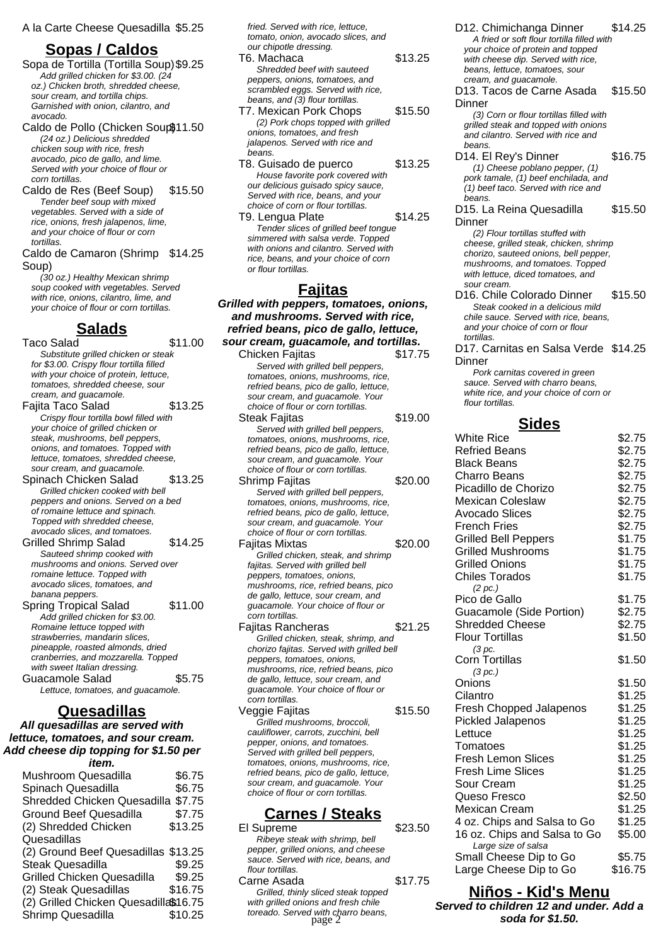### **Sopas / Caldos**

Sopa de Tortilla (Tortilla Soup)\$9.25 Add grilled chicken for \$3.00. (24 oz.) Chicken broth, shredded cheese, sour cream, and tortilla chips. Garnished with onion, cilantro, and avocado.

Caldo de Pollo (Chicken Soup\$11.50 (24 oz.) Delicious shredded chicken soup with rice, fresh avocado, pico de gallo, and lime. Served with your choice of flour or corn tortillas.

Caldo de Res (Beef Soup) \$15.50 Tender beef soup with mixed vegetables. Served with a side of rice, onions, fresh jalapenos, lime, and your choice of flour or corn tortillas.

Caldo de Camaron (Shrimp \$14.25 Soup)

(30 oz.) Healthy Mexican shrimp soup cooked with vegetables. Served with rice, onions, cilantro, lime, and your choice of flour or corn tortillas.

#### **Salads**

Taco Salad \$11.00 Substitute grilled chicken or steak for \$3.00. Crispy flour tortilla filled with your choice of protein, lettuce, tomatoes, shredded cheese, sour cream, and guacamole. Fajita Taco Salad \$13.25 Crispy flour tortilla bowl filled with your choice of grilled chicken or steak, mushrooms, bell peppers, onions, and tomatoes. Topped with lettuce, tomatoes, shredded cheese, sour cream, and guacamole. Spinach Chicken Salad \$13.25 Grilled chicken cooked with bell peppers and onions. Served on a bed of romaine lettuce and spinach. Topped with shredded cheese, avocado slices, and tomatoes. Grilled Shrimp Salad \$14.25 Sauteed shrimp cooked with mushrooms and onions. Served over romaine lettuce. Topped with avocado slices, tomatoes, and banana peppers. Spring Tropical Salad \$11.00 Add grilled chicken for \$3.00. Romaine lettuce topped with strawberries, mandarin slices. pineapple, roasted almonds, dried cranberries, and mozzarella. Topped with sweet Italian dressing. Guacamole Salad \$5.75 Lettuce, tomatoes, and guacamole.

### **Quesadillas**

**All quesadillas are served with lettuce, tomatoes, and sour cream. Add cheese dip topping for \$1.50 per item.**

| Mushroom Quesadilla                   | \$6.75  |
|---------------------------------------|---------|
| Spinach Quesadilla                    | \$6.75  |
| Shredded Chicken Quesadilla \$7.75    |         |
| <b>Ground Beef Quesadilla</b>         | \$7.75  |
| (2) Shredded Chicken                  | \$13.25 |
| Quesadillas                           |         |
| (2) Ground Beef Quesadillas \$13.25   |         |
| <b>Steak Quesadilla</b>               | \$9.25  |
| <b>Grilled Chicken Quesadilla</b>     | \$9.25  |
| (2) Steak Quesadillas                 | \$16.75 |
| (2) Grilled Chicken Quesadilla\$16.75 |         |
| Shrimp Quesadilla                     | \$10.25 |

fried. Served with rice, lettuce, tomato, onion, avocado slices, and our chipotle dressing.

- T6. Machaca \$13.25 Shredded beef with sauteed peppers, onions, tomatoes, and scrambled eggs. Served with rice, beans, and (3) flour tortillas. T7. Mexican Pork Chops \$15.50
- (2) Pork chops topped with grilled onions, tomatoes, and fresh jalapenos. Served with rice and beans.

T8. Guisado de puerco \$13.25 House favorite pork covered with our delicious guisado spicy sauce, Served with rice, beans, and your choice of corn or flour tortillas.

T9. Lengua Plate \$14.25 Tender slices of grilled beef tongue simmered with salsa verde. Topped with onions and cilantro. Served with rice, beans, and your choice of corn or flour tortillas.

### **Fajitas**

**Grilled with peppers, tomatoes, onions, and mushrooms. Served with rice, refried beans, pico de gallo, lettuce, sour cream, guacamole, and tortillas.**

Chicken Fajitas \$17.75 Served with grilled bell peppers, tomatoes, onions, mushrooms, rice, refried beans, pico de gallo, lettuce, sour cream, and guacamole. Your choice of flour or corn tortillas. Steak Fajitas **\$19.00** Served with grilled bell peppers, tomatoes, onions, mushrooms, rice, refried beans, pico de gallo, lettuce, sour cream, and guacamole. Your choice of flour or corn tortillas. Shrimp Fajitas  $$20.00$ Served with grilled bell peppers, tomatoes, onions, mushrooms, rice, refried beans, pico de gallo, lettuce, sour cream, and guacamole. Your choice of flour or corn tortillas. Fajitas Mixtas **\$20.00** Grilled chicken, steak, and shrimp fajitas. Served with grilled bell peppers, tomatoes, onions, mushrooms, rice, refried beans, pico de gallo, lettuce, sour cream, and guacamole. Your choice of flour or corn tortillas. Fajitas Rancheras \$21.25 Grilled chicken, steak, shrimp, and chorizo fajitas. Served with grilled bell peppers, tomatoes, onions, mushrooms, rice, refried beans, pico de gallo, lettuce, sour cream, and guacamole. Your choice of flour or corn tortillas. Veggie Fajitas **\$15.50** Grilled mushrooms, broccoli, cauliflower, carrots, zucchini, bell pepper, onions, and tomatoes. Served with grilled bell peppers, tomatoes, onions, mushrooms, rice, refried beans, pico de gallo, lettuce,

### **Carnes / Steaks**

sour cream, and guacamole. Your choice of flour or corn tortillas.

| El Supreme                                                           | \$23.50 |
|----------------------------------------------------------------------|---------|
| Ribeye steak with shrimp, bell<br>pepper, grilled onions, and cheese |         |
| sauce. Served with rice, beans, and                                  |         |
| flour tortillas.                                                     |         |
| Carne Asada                                                          | \$17.75 |
| Grilled, thinly sliced steak topped                                  |         |
| with grilled onions and fresh chile                                  |         |
| toreado. Served with charro beans,<br>page $2$                       |         |
|                                                                      |         |

D12. Chimichanga Dinner \$14.25 A fried or soft flour tortilla filled with your choice of protein and topped with cheese dip. Served with rice, beans, lettuce, tomatoes, sour cream, and guacamole. D13. Tacos de Carne Asada **Dinner** \$15.50 (3) Corn or flour tortillas filled with grilled steak and topped with onions and cilantro. Served with rice and beans. D14. El Rey's Dinner \$16.75 (1) Cheese poblano pepper, (1) pork tamale, (1) beef enchilada, and (1) beef taco. Served with rice and beans. D15. La Reina Quesadilla **Dinner** \$15.50 (2) Flour tortillas stuffed with cheese, grilled steak, chicken, shrimp chorizo, sauteed onions, bell pepper, mushrooms, and tomatoes. Topped with lettuce, diced tomatoes, and sour cream. D16. Chile Colorado Dinner \$15.50

Steak cooked in a delicious mild chile sauce. Served with rice, beans, and your choice of corn or flour tortillas.

D17. Carnitas en Salsa Verde \$14.25 **Dinner** 

Pork carnitas covered in green sauce. Served with charro beans, white rice, and your choice of corn or flour tortillas.

### **Sides**

| <b>White Rice</b>              | \$2.75  |
|--------------------------------|---------|
| <b>Refried Beans</b>           | \$2.75  |
| <b>Black Beans</b>             | \$2.75  |
| Charro Beans                   | \$2.75  |
| Picadillo de Chorizo           | \$2.75  |
| <b>Mexican Coleslaw</b>        | \$2.75  |
| <b>Avocado Slices</b>          | \$2.75  |
| <b>French Fries</b>            | \$2.75  |
| <b>Grilled Bell Peppers</b>    | \$1.75  |
| <b>Grilled Mushrooms</b>       | \$1.75  |
| <b>Grilled Onions</b>          | \$1.75  |
| <b>Chiles Torados</b>          | \$1.75  |
| (2~pc.)                        |         |
| Pico de Gallo                  | \$1.75  |
| Guacamole (Side Portion)       | \$2.75  |
| <b>Shredded Cheese</b>         | \$2.75  |
| <b>Flour Tortillas</b>         | \$1.50  |
| (3 pc.                         |         |
| <b>Corn Tortillas</b>          | \$1.50  |
| (3 pc.)                        |         |
| Onions                         | \$1.50  |
| Cilantro                       | \$1.25  |
| <b>Fresh Chopped Jalapenos</b> | \$1.25  |
| <b>Pickled Jalapenos</b>       | \$1.25  |
| Lettuce                        | \$1.25  |
| Tomatoes                       | \$1.25  |
| <b>Fresh Lemon Slices</b>      | \$1.25  |
| <b>Fresh Lime Slices</b>       | \$1.25  |
| Sour Cream                     | \$1.25  |
| Queso Fresco                   | \$2.50  |
| <b>Mexican Cream</b>           | \$1.25  |
| 4 oz. Chips and Salsa to Go    | \$1.25  |
| 16 oz. Chips and Salsa to Go   | \$5.00  |
| Large size of salsa            |         |
| Small Cheese Dip to Go         | \$5.75  |
| Large Cheese Dip to Go         | \$16.75 |

#### **Niños - Kid's Menu**

**Served to children 12 and under. Add a** page 2 **soda for \$1.50.**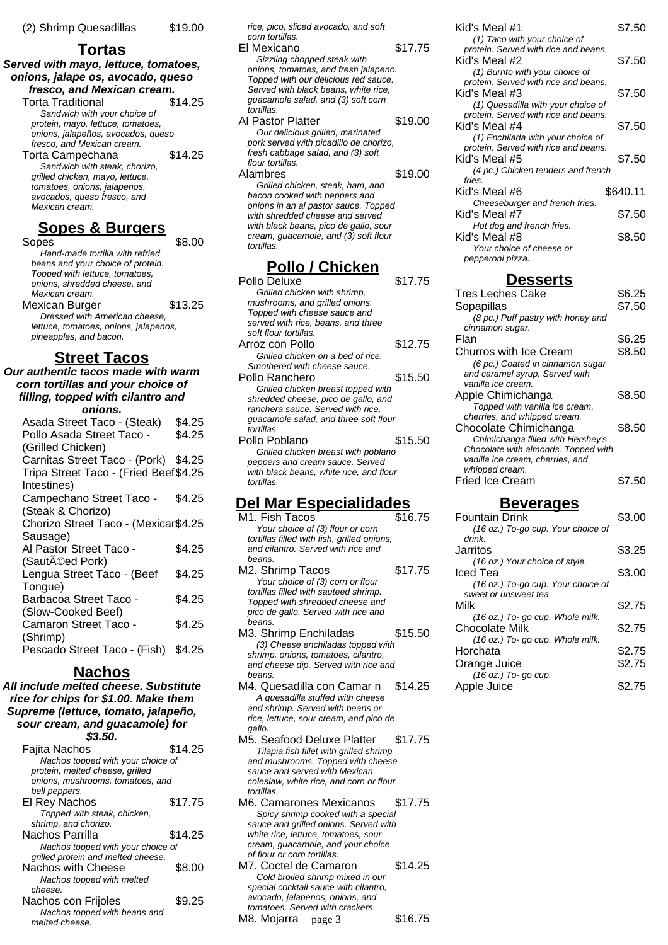### **Tortas**

**Served with mayo, lettuce, tomatoes, onions, jalape os, avocado, queso fresco, and Mexican cream.**

Torta Traditional \$14.25 Sandwich with your choice of protein, mayo, lettuce, tomatoes, onions, jalapeños, avocados, queso fresco, and Mexican cream. Torta Campechana \$14.25 Sandwich with steak, chorizo, grilled chicken, mayo, lettuce, tomatoes, onions, jalapenos, avocados, queso fresco, and Mexican cream.

### **Sopes & Burgers**

Sopes \$8.00 Hand-made tortilla with refried beans and your choice of protein. Topped with lettuce, tomatoes, onions, shredded cheese, and Mexican cream. Mexican Burger **\$13.25** Dressed with American cheese, lettuce, tomatoes, onions, jalapenos, pineapples, and bacon.

### **Street Tacos**

**Our authentic tacos made with warm corn tortillas and your choice of filling, topped with cilantro and onions.** Asada Street Taco - (Steak) \$4.25 Pollo Asada Street Taco - \$4.25

| Pollo Asada Street Taco -              | ა4.Z5  |
|----------------------------------------|--------|
| (Grilled Chicken)                      |        |
| Carnitas Street Taco - (Pork) \$4.25   |        |
| Tripa Street Taco - (Fried Beef \$4.25 |        |
| Intestines)                            |        |
| Campechano Street Taco -               | \$4.25 |
| (Steak & Chorizo)                      |        |
| Chorizo Street Taco - (Mexicar\$4.25   |        |
| Sausage)                               |        |
| Al Pastor Street Taco -                | \$4.25 |
| (Sautéed Pork)                         |        |
| Lengua Street Taco - (Beef             | \$4.25 |
| Tongue)                                |        |
| Barbacoa Street Taco -                 | \$4.25 |
| (Slow-Cooked Beef)                     |        |
| Camaron Street Taco -                  | \$4.25 |
| (Shrimp)                               |        |
| Pescado Street Taco - (Fish) \$4.25    |        |
|                                        |        |

### **Nachos**

**All include melted cheese. Substitute rice for chips for \$1.00. Make them Supreme (lettuce, tomato, jalapeño, sour cream, and guacamole) for \$3.50.**

| Fajita Nachos                      | \$14.25 |
|------------------------------------|---------|
| Nachos topped with your choice of  |         |
| protein, melted cheese, grilled    |         |
| onions, mushrooms, tomatoes, and   |         |
| bell peppers.                      |         |
| El Rey Nachos                      | \$17.75 |
| Topped with steak, chicken,        |         |
| shrimp, and chorizo.               |         |
| Nachos Parrilla                    | \$14.25 |
| Nachos topped with your choice of  |         |
| grilled protein and melted cheese. |         |
| Nachos with Cheese                 | \$8.00  |
| Nachos topped with melted          |         |
| cheese.                            |         |
| Nachos con Frijoles                | \$9.25  |
| Nachos topped with beans and       |         |
| melted cheese.                     |         |

rice, pico, sliced avocado, and soft corn tortillas. El Mexicano \$17.75 Sizzling chopped steak with onions, tomatoes, and fresh jalapeno. Topped with our delicious red sauce. Served with black beans, white rice, guacamole salad, and (3) soft corn tortillas. Al Pastor Platter \$19.00 Our delicious grilled, marinated pork served with picadillo de chorizo, fresh cabbage salad, and (3) soft flour tortillas. Alambres \$19.00 Grilled chicken, steak, ham, and bacon cooked with peppers and onions in an al pastor sauce. Topped with shredded cheese and served with black beans, pico de gallo, sour cream, guacamole, and (3) soft flour tortillas.

### **Pollo / Chicken**

| Pollo Deluxe                                          | \$17.75 |
|-------------------------------------------------------|---------|
| Grilled chicken with shrimp,                          |         |
| mushrooms, and grilled onions.                        |         |
| Topped with cheese sauce and                          |         |
| served with rice, beans, and three                    |         |
| soft flour tortillas.                                 |         |
| Arroz con Pollo                                       | \$12.75 |
| Grilled chicken on a bed of rice.                     |         |
| Smothered with cheese sauce.                          |         |
| Pollo Ranchero                                        | \$15.50 |
| Grilled chicken breast topped with                    |         |
| shredded cheese, pico de gallo, and                   |         |
| ranchera sauce. Served with rice,                     |         |
| guacamole salad, and three soft flour                 |         |
| tortillas                                             |         |
| Pollo Poblano                                         | \$15.50 |
| Grilled chicken breast with poblano                   |         |
| peppers and cream sauce. Served                       |         |
| with black beans, white rice, and flour<br>tortillas. |         |
|                                                       |         |

### **Del Mar Especialidades**

- M<sub>1</sub> Fish Tacos \$16.75 Your choice of (3) flour or corn tortillas filled with fish, grilled onions, and cilantro. Served with rice and beans. M2. Shrimp Tacos \$17.75 Your choice of (3) corn or flour tortillas filled with sauteed shrimp. Topped with shredded cheese and pico de gallo. Served with rice and beans. M3. Shrimp Enchiladas \$15.50 (3) Cheese enchiladas topped with shrimp, onions, tomatoes, cilantro, and cheese dip. Served with rice and beans.
- M4. Quesadilla con Camar n \$14.25 A quesadilla stuffed with cheese and shrimp. Served with beans or rice, lettuce, sour cream, and pico de gallo.
- M5. Seafood Deluxe Platter \$17.75 Tilapia fish fillet with grilled shrimp and mushrooms. Topped with cheese sauce and served with Mexican coleslaw, white rice, and corn or flour tortillas.
- M6. Camarones Mexicanos \$17.75 Spicy shrimp cooked with a special sauce and grilled onions. Served with white rice, lettuce, tomatoes, sour cream, guacamole, and your choice of flour or corn tortillas.
- M7. Coctel de Camaron \$14.25 Cold broiled shrimp mixed in our special cocktail sauce with cilantro, avocado, jalapenos, onions, and tomatoes. Served with crackers. M8. Mojarra \$16.75 page 3

| Kid's Meal #1                                                              | \$7.50   |
|----------------------------------------------------------------------------|----------|
| (1) Taco with your choice of<br>protein. Served with rice and beans.       |          |
| Kid's Meal #2                                                              | \$7.50   |
| (1) Burrito with your choice of                                            |          |
| protein. Served with rice and beans.                                       |          |
| Kid's Meal #3                                                              | \$7.50   |
| (1) Quesadilla with your choice of<br>protein. Served with rice and beans. |          |
| Kid's Meal #4                                                              | \$7.50   |
| (1) Enchilada with your choice of                                          |          |
| protein. Served with rice and beans.                                       |          |
| Kid's Meal #5                                                              | \$7.50   |
| (4 pc.) Chicken tenders and french                                         |          |
| fries.<br>Kid's Meal #6                                                    | \$640.11 |
| Cheeseburger and french fries.                                             |          |
| Kid's Meal #7                                                              | \$7.50   |
| Hot dog and french fries.                                                  |          |
| Kid's Meal #8                                                              | \$8.50   |

#### **Desserts**

Your choice of cheese or

pepperoni pizza.

| <b>Tres Leches Cake</b>             | \$6.25 |
|-------------------------------------|--------|
| Sopapillas                          | \$7.50 |
| (8 pc.) Puff pastry with honey and  |        |
| cinnamon sugar.                     |        |
| Flan                                | \$6.25 |
| Churros with Ice Cream              | \$8.50 |
| (6 pc.) Coated in cinnamon sugar    |        |
| and caramel syrup. Served with      |        |
| vanilla ice cream.                  |        |
| Apple Chimichanga                   | \$8.50 |
| Topped with vanilla ice cream,      |        |
| cherries, and whipped cream.        |        |
| Chocolate Chimichanga               | \$8.50 |
| Chimichanga filled with Hershey's   |        |
| Chocolate with almonds. Topped with |        |
| vanilla ice cream, cherries, and    |        |
| whipped cream.                      |        |
| <b>Fried Ice Cream</b>              | \$7.50 |

### **Beverages**

| <b>Fountain Drink</b>              | \$3.00 |
|------------------------------------|--------|
| (16 oz.) To-go cup. Your choice of |        |
| drink.                             |        |
| Jarritos                           | \$3.25 |
| (16 oz.) Your choice of style.     |        |
| Iced Tea                           | \$3.00 |
| (16 oz.) To-go cup. Your choice of |        |
| sweet or unsweet tea.              |        |
| Milk                               | \$2.75 |
| (16 oz.) To- go cup. Whole milk.   |        |
| Chocolate Milk                     | \$2.75 |
| (16 oz.) To- go cup. Whole milk.   |        |
| Horchata                           | \$2.75 |
| Orange Juice                       | \$2.75 |
| (16 oz.) To- go cup.               |        |
| Apple Juice                        | \$2.75 |
|                                    |        |